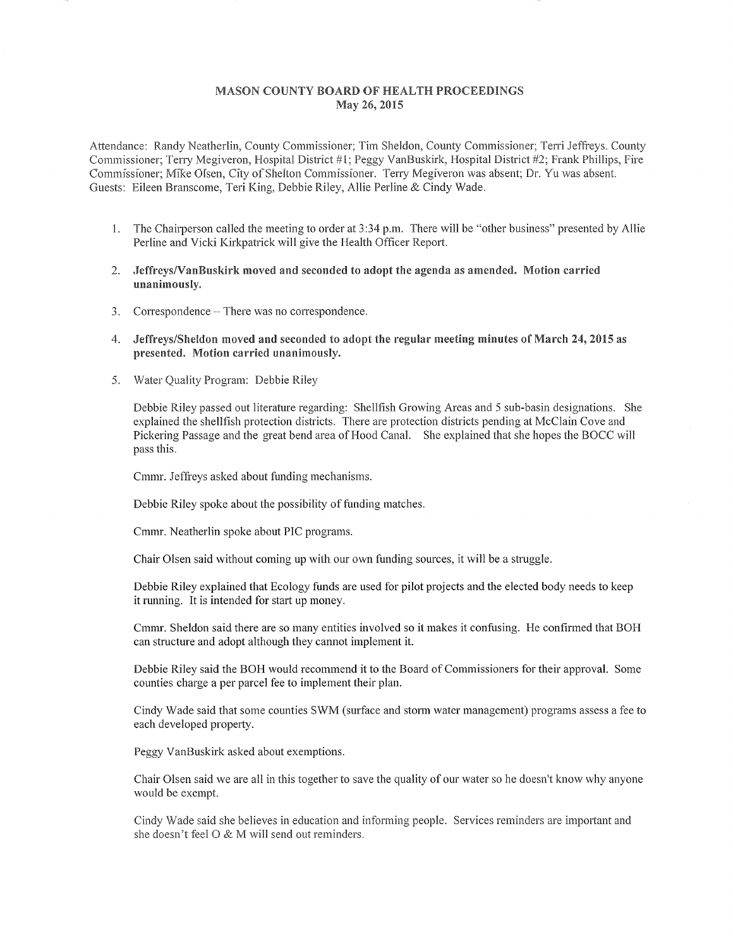## MASON COUNTY BOARD OF HEALTH PROCEEDINGS May 26, 2015

Attendance: Randy Neatherlin, County Commissioner; Tim Sheldon, County Commissioner; Terri Jeffreys. County Commissioner; Teny Megiveron, Hospital District #I; Peggy VanBuskirk, Hospital District #2; Frank Phillips, Fire Commissioner; Mike Olsen, City of Shelton Commissioner. Terry Megiveron was absent; Dr. Yu was absent. Guests: Eileen Branscome, Teri King, Debbie Riley, Allie Perline & Cindy Wade.

- l. The Chairperson called the meeting to order at 3 :34 p.m. There will be "other business" presented by Allie Perline and Vicki Kirkpatrick will give the Health Officer Report.
- 2. JeffreysNanBuskirk moved and seconded to adopt the agenda as amended. Motion carried unanimously.
- 3. Correspondence There was no correspondence.
- 4. Jeffreys/Sheldon moved and seconded to adopt the regular meeting minutes of March 24, 2015 as presented. Motion carried
- 5. Water Quality Program: Debbie Riley

Debbie Riley passed out literature regarding: Shellfish Growing Areas and 5 sub-basin designations. She explained the shellfish protection districts. There are protection districts pending at McClain Cove and Pickering Passage and the great bend area of Hood Canal. She explained that she hopes the BOCC will pass this.

Cmmr. Jeffreys asked about funding mechanisms.

Debbie Riley spoke about the possibility of funding matches.

Cmmr. Neatherlin spoke about PIC programs.

Chair Olsen said without coming up with our own funding sources, it will be a struggle.

Debbie Riley explained that Ecology funds are used for pilot projects and the elected body needs to keep it running. It is intended for start up money.

Cmmr. Sheldon said there are so many entities involved so it makes it confusing. He confirmed that BOH can structure and adopt although they cannot implement it.

Debbie Riley said the BOH would recommend it to the Board of Commissioners for their approval. Some counties charge a per parcel fee to implement their plan.

Cindy Wade said that some counties SWM (surface and stonn water management) programs assess a fee to each developed property.

Peggy VanBuskirk asked about exemptions.

Chair Olsen said we are all in this together to save the quality of our water so he doesn't know why anyone would be exempt.

Cindy Wade said she believes in education and informing people. Services reminders are important and she doesn't feel  $\overline{O} \& M$  will send out reminders.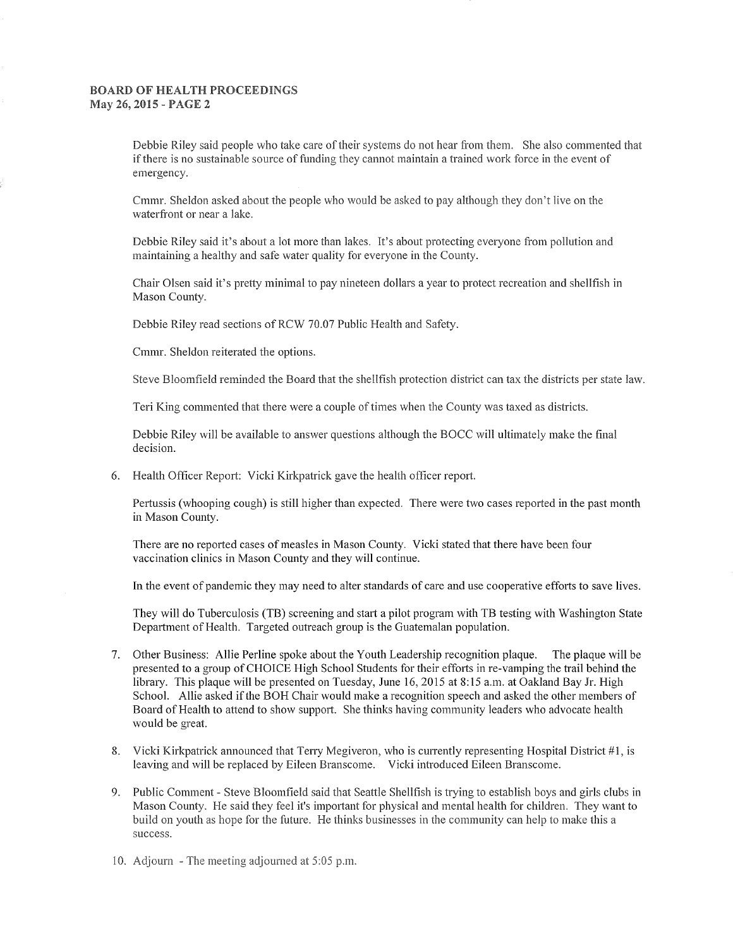## BOARD OF HEALTH PROCEEDINGS May 26, 2015 - PAGE 2

Debbie Riley said people who take care of their systems do not hear from them. She also commented that if there is no sustainable source of funding they cannot maintain a trained work force in the event of emergency.

Cmmr. Sheldon asked about the people who would be asked to pay although they don't live on the waterfront or near a lake.

Debbie Riley said it's about a lot more than lakes. It's about protecting everyone from pollution and maintaining a healthy and safe water quality for everyone in the County.

Chair Olsen said it's pretty minimal to pay nineteen dollars a year to protect recreation and shellfish in Mason County.

Debbie Riley read sections of RCW 70.07 Public Health and Safety.

Cmmr. Sheldon reiterated the options.

Steve Bloomfield reminded the Board that the shellfish protection district can tax the districts per state law.

Teri King commented that there were a couple of times when the County was taxed as districts.

Debbie Riley will be available to answer questions although the BOCC will ultimately make the final decision.

6. Health Officer Report: Vicki Kirkpatrick gave the health officer report.

Pertussis (whooping cough) is still higher than expected. There were two cases reported in the past month in Mason County.

There are no reported cases of measles in Mason County. Vicki stated that there have been four vaccination clinics in Mason County and they will continue.

In the event of pandemic they may need to alter standards of care and use cooperative effotis to save lives.

They will do Tuberculosis (TB) screening and start a pilot program with TB testing with Washington State Department of Health. Targeted outreach group is the Guatemalan population.

- 7. Other Business: Allie Perline spoke about the Youth Leadership recognition plaque. The plaque will be presented to a group of CHOICE High School Students for their efforts in re-vamping the trail behind the library. This plaque will be presented on Tuesday, June 16, 2015 at 8:15 a.m. at Oakland Bay Jr. High School. Allie asked if the BOH Chair would make a recognition speech and asked the other members of Board of Health to attend to show support. She thinks having community leaders who advocate health would be great.
- 8. Vicki Kirkpatrick announced that Terry Megiveron, who is currently representing Hospital District  $#1$ , is leaving and will be replaced by Eileen Branscome. Vicki introduced Eileen Branscome.
- 9. Public Comment Steve Bloomfield said that Seattle Shellfish is trying to establish boys and girls clubs in Mason County. He said they feel it's important for physical and mental health for children. They want to build on youth as hope for the future. He thinks businesses in the community can help to make this a success.
- 10. Adjourn The meeting adjourned at  $5:05$  p.m.